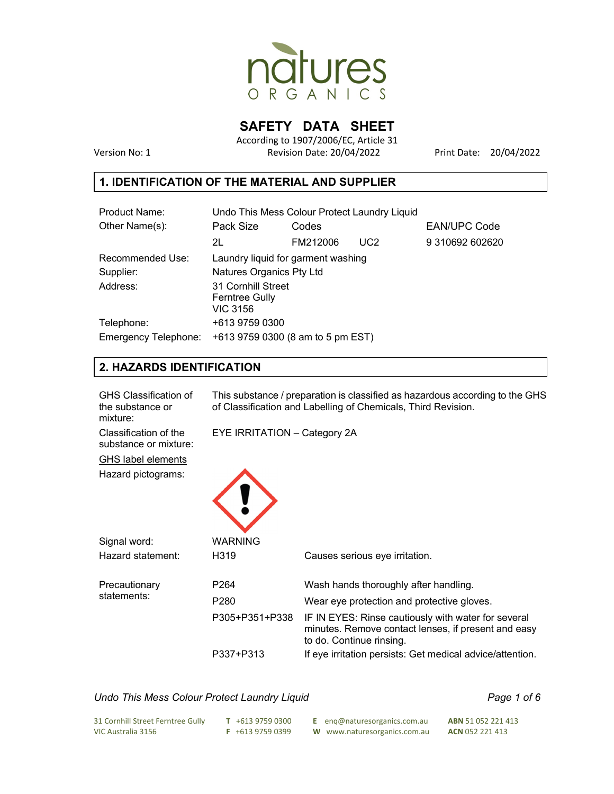

**SAFETY DATA SHEET** 

According to 1907/2006/EC, Article 31 Version No: 1 Revision Date: 20/04/2022 Print Date: 20/04/2022

## **1. IDENTIFICATION OF THE MATERIAL AND SUPPLIER**

| Product Name:        | Undo This Mess Colour Protect Laundry Liquid |          |                 |                     |  |
|----------------------|----------------------------------------------|----------|-----------------|---------------------|--|
| Other Name(s):       | Pack Size                                    | Codes    |                 | <b>EAN/UPC Code</b> |  |
|                      | 2L                                           | FM212006 | UC <sub>2</sub> | 9 310692 602620     |  |
| Recommended Use:     | Laundry liquid for garment washing           |          |                 |                     |  |
| Supplier:            | Natures Organics Pty Ltd                     |          |                 |                     |  |
| Address:             | 31 Cornhill Street<br><b>Ferntree Gully</b>  |          |                 |                     |  |
|                      | <b>VIC 3156</b>                              |          |                 |                     |  |
| Telephone:           | +613 9759 0300                               |          |                 |                     |  |
| Emergency Telephone: | +613 9759 0300 (8 am to 5 pm EST)            |          |                 |                     |  |

## **2. HAZARDS IDENTIFICATION**

| <b>GHS Classification of</b><br>the substance or<br>mixture: | This substance / preparation is classified as hazardous according to the GHS<br>of Classification and Labelling of Chemicals, Third Revision. |                                                                                                                                        |  |
|--------------------------------------------------------------|-----------------------------------------------------------------------------------------------------------------------------------------------|----------------------------------------------------------------------------------------------------------------------------------------|--|
| Classification of the<br>substance or mixture:               | EYE IRRITATION - Category 2A                                                                                                                  |                                                                                                                                        |  |
| <b>GHS label elements</b>                                    |                                                                                                                                               |                                                                                                                                        |  |
| Hazard pictograms:                                           |                                                                                                                                               |                                                                                                                                        |  |
| Signal word:                                                 | WARNING                                                                                                                                       |                                                                                                                                        |  |
|                                                              |                                                                                                                                               |                                                                                                                                        |  |
| Hazard statement:                                            | H319                                                                                                                                          | Causes serious eye irritation.                                                                                                         |  |
| Precautionary                                                | P <sub>264</sub>                                                                                                                              | Wash hands thoroughly after handling.                                                                                                  |  |
| statements:                                                  | P280                                                                                                                                          | Wear eye protection and protective gloves.                                                                                             |  |
|                                                              | P305+P351+P338                                                                                                                                | IF IN EYES: Rinse cautiously with water for several<br>minutes. Remove contact lenses, if present and easy<br>to do. Continue rinsing. |  |
|                                                              | P337+P313                                                                                                                                     | If eye irritation persists: Get medical advice/attention.                                                                              |  |

#### Undo This Mess Colour Protect Laundry Liquid **Page 1 of 6** and Page 1 of 6

| 31 Cornhill Street Ferntree Gully | T +613 9759 0300  | E eng@naturesorganics.com.au | <b>ABN</b> 51 052 221 413 |
|-----------------------------------|-------------------|------------------------------|---------------------------|
| VIC Australia 3156                | $F + 61397590399$ | W www.naturesorganics.com.au | <b>ACN 052 221 413</b>    |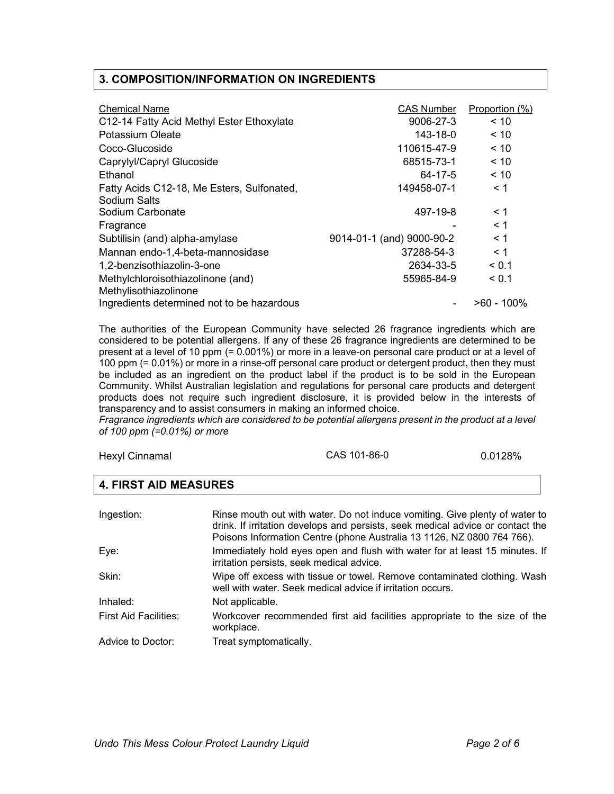#### **3. COMPOSITION/INFORMATION ON INGREDIENTS**

| <b>Chemical Name</b><br>C12-14 Fatty Acid Methyl Ester Ethoxylate<br>Potassium Oleate<br>Coco-Glucoside<br>Caprylyl/Capryl Glucoside<br>Ethanol<br>Fatty Acids C12-18, Me Esters, Sulfonated,<br>Sodium Salts<br>Sodium Carbonate | CAS Number<br>9006-27-3<br>143-18-0<br>110615-47-9<br>68515-73-1<br>64-17-5<br>149458-07-1<br>497-19-8 | Proportion (%)<br>< 10<br>$~<$ 10<br>$~<$ 10<br>$~<$ 10<br>< 10<br>$\leq 1$<br>$\leq 1$ |
|-----------------------------------------------------------------------------------------------------------------------------------------------------------------------------------------------------------------------------------|--------------------------------------------------------------------------------------------------------|-----------------------------------------------------------------------------------------|
| Fragrance<br>Subtilisin (and) alpha-amylase                                                                                                                                                                                       | 9014-01-1 (and) 9000-90-2                                                                              | $\leq 1$<br>$\leq 1$                                                                    |
| Mannan endo-1,4-beta-mannosidase                                                                                                                                                                                                  | 37288-54-3                                                                                             | $\leq 1$                                                                                |
| 1,2-benzisothiazolin-3-one                                                                                                                                                                                                        | 2634-33-5                                                                                              | < 0.1                                                                                   |
| Methylchloroisothiazolinone (and)<br>Methylisothiazolinone                                                                                                                                                                        | 55965-84-9                                                                                             | < 0.1                                                                                   |
| Ingredients determined not to be hazardous                                                                                                                                                                                        |                                                                                                        | >60 - 100%                                                                              |

The authorities of the European Community have selected 26 fragrance ingredients which are considered to be potential allergens. If any of these 26 fragrance ingredients are determined to be present at a level of 10 ppm (= 0.001%) or more in a leave-on personal care product or at a level of 100 ppm (= 0.01%) or more in a rinse-off personal care product or detergent product, then they must be included as an ingredient on the product label if the product is to be sold in the European Community. Whilst Australian legislation and regulations for personal care products and detergent products does not require such ingredient disclosure, it is provided below in the interests of transparency and to assist consumers in making an informed choice.

*Fragrance ingredients which are considered to be potential allergens present in the product at a level of 100 ppm (=0.01%) or more* 

| Hexyl Cinnamal | CAS 101-86-0 | 0.0128% |
|----------------|--------------|---------|
|----------------|--------------|---------|

## **4. FIRST AID MEASURES**

| Ingestion:                   | Rinse mouth out with water. Do not induce vomiting. Give plenty of water to<br>drink. If irritation develops and persists, seek medical advice or contact the<br>Poisons Information Centre (phone Australia 13 1126, NZ 0800 764 766). |
|------------------------------|-----------------------------------------------------------------------------------------------------------------------------------------------------------------------------------------------------------------------------------------|
| Eye:                         | Immediately hold eyes open and flush with water for at least 15 minutes. If<br>irritation persists, seek medical advice.                                                                                                                |
| Skin:                        | Wipe off excess with tissue or towel. Remove contaminated clothing. Wash<br>well with water. Seek medical advice if irritation occurs.                                                                                                  |
| Inhaled:                     | Not applicable.                                                                                                                                                                                                                         |
| <b>First Aid Facilities:</b> | Workcover recommended first aid facilities appropriate to the size of the<br>workplace.                                                                                                                                                 |
| Advice to Doctor:            | Treat symptomatically.                                                                                                                                                                                                                  |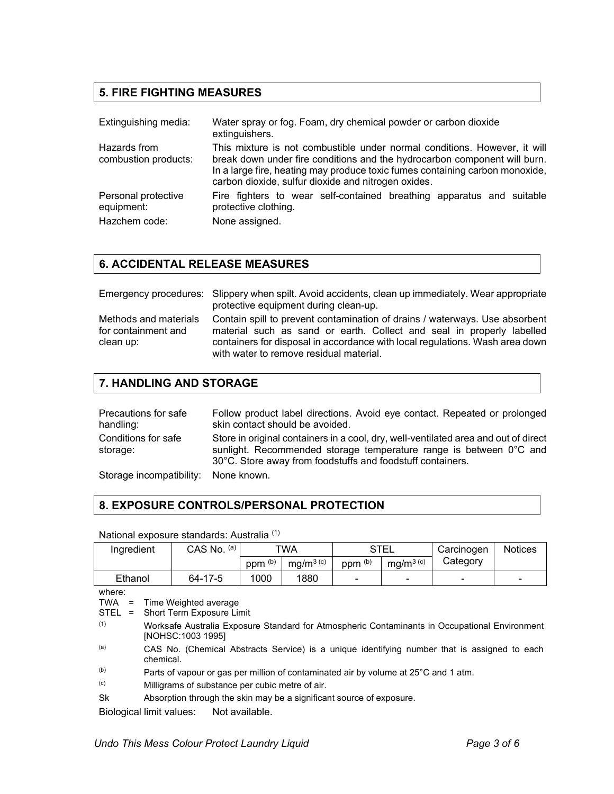## **5. FIRE FIGHTING MEASURES**

| Extinguishing media:                 | Water spray or fog. Foam, dry chemical powder or carbon dioxide<br>extinguishers.                                                                                                                                                                                                             |
|--------------------------------------|-----------------------------------------------------------------------------------------------------------------------------------------------------------------------------------------------------------------------------------------------------------------------------------------------|
| Hazards from<br>combustion products: | This mixture is not combustible under normal conditions. However, it will<br>break down under fire conditions and the hydrocarbon component will burn.<br>In a large fire, heating may produce toxic fumes containing carbon monoxide,<br>carbon dioxide, sulfur dioxide and nitrogen oxides. |
| Personal protective<br>equipment:    | Fire fighters to wear self-contained breathing apparatus and suitable<br>protective clothing.                                                                                                                                                                                                 |
| Hazchem code:                        | None assigned.                                                                                                                                                                                                                                                                                |

## **6. ACCIDENTAL RELEASE MEASURES**

|                                                           | Emergency procedures: Slippery when spilt. Avoid accidents, clean up immediately. Wear appropriate<br>protective equipment during clean-up.                                                                                                                                     |
|-----------------------------------------------------------|---------------------------------------------------------------------------------------------------------------------------------------------------------------------------------------------------------------------------------------------------------------------------------|
| Methods and materials<br>for containment and<br>clean up: | Contain spill to prevent contamination of drains / waterways. Use absorbent<br>material such as sand or earth. Collect and seal in properly labelled<br>containers for disposal in accordance with local regulations. Wash area down<br>with water to remove residual material. |

## **7. HANDLING AND STORAGE**

| Precautions for safe<br>handling:   | Follow product label directions. Avoid eye contact. Repeated or prolonged<br>skin contact should be avoided.                                                                                                            |
|-------------------------------------|-------------------------------------------------------------------------------------------------------------------------------------------------------------------------------------------------------------------------|
| Conditions for safe<br>storage:     | Store in original containers in a cool, dry, well-ventilated area and out of direct<br>sunlight. Recommended storage temperature range is between 0°C and<br>30°C. Store away from foodstuffs and foodstuff containers. |
| Storage incompatibility: None known |                                                                                                                                                                                                                         |

Storage incompatibility: None known.

## **8. EXPOSURE CONTROLS/PERSONAL PROTECTION**

#### National exposure standards: Australia (1)

| Ingredient | (a)<br>CAS No. | TWA                |                                   | STEL               |                                   | Carcinogen | <b>Notices</b>           |
|------------|----------------|--------------------|-----------------------------------|--------------------|-----------------------------------|------------|--------------------------|
|            |                | ppm <sup>(b)</sup> | mg/m <sup>3<math>(c)</math></sup> | ppm <sup>(b)</sup> | mg/m <sup>3<math>(c)</math></sup> | Category   |                          |
| Ethanol    | 64-17-5        | 1000               | 1880                              | $\sim$             | $\blacksquare$                    | -          | $\overline{\phantom{0}}$ |

where:

TWA = Time Weighted average

- STEL = Short Term Exposure Limit
- (1) Worksafe Australia Exposure Standard for Atmospheric Contaminants in Occupational Environment [NOHSC:1003 1995]
- (a) CAS No. (Chemical Abstracts Service) is a unique identifying number that is assigned to each chemical.
- (b) Parts of vapour or gas per million of contaminated air by volume at  $25^{\circ}$ C and 1 atm.<br>(c) Milliorams of substance per cubic metre of air
- Milligrams of substance per cubic metre of air.
- Sk Absorption through the skin may be a significant source of exposure.

Biological limit values: Not available.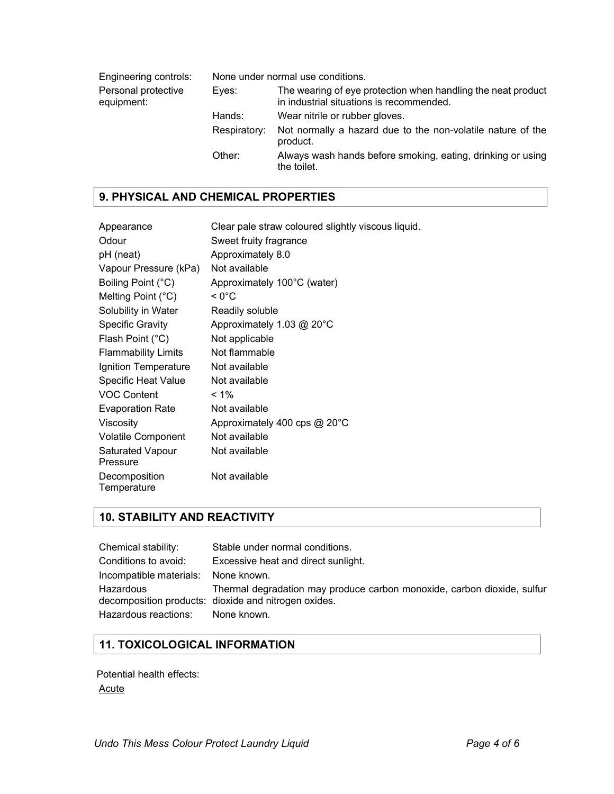Engineering controls: None under normal use conditions. Personal protective equipment: Eyes: The wearing of eye protection when handling the neat product in industrial situations is recommended. Hands: Wear nitrile or rubber gloves. Respiratory: Not normally a hazard due to the non-volatile nature of the product. Other: Always wash hands before smoking, eating, drinking or using the toilet.

#### **9. PHYSICAL AND CHEMICAL PROPERTIES**

| Appearance                          | Clear pale straw coloured slightly viscous liquid. |
|-------------------------------------|----------------------------------------------------|
| Odour                               | Sweet fruity fragrance                             |
| pH (neat)                           | Approximately 8.0                                  |
| Vapour Pressure (kPa)               | Not available                                      |
| Boiling Point (°C)                  | Approximately 100°C (water)                        |
| Melting Point $(^{\circ}C)$         | < 0°C                                              |
| Solubility in Water                 | Readily soluble                                    |
| Specific Gravity                    | Approximately 1.03 @ 20°C                          |
| Flash Point (°C)                    | Not applicable                                     |
| <b>Flammability Limits</b>          | Not flammable                                      |
| Ignition Temperature                | Not available                                      |
| <b>Specific Heat Value</b>          | Not available                                      |
| <b>VOC Content</b>                  | $< 1\%$                                            |
| <b>Evaporation Rate</b>             | Not available                                      |
| Viscosity                           | Approximately 400 cps @ 20°C                       |
| <b>Volatile Component</b>           | Not available                                      |
| <b>Saturated Vapour</b><br>Pressure | Not available                                      |
| Decomposition<br>Temperature        | Not available                                      |

## **10. STABILITY AND REACTIVITY**

| Chemical stability:                 | Stable under normal conditions.                                                                                                 |
|-------------------------------------|---------------------------------------------------------------------------------------------------------------------------------|
| Conditions to avoid:                | Excessive heat and direct sunlight.                                                                                             |
| Incompatible materials: None known. |                                                                                                                                 |
| Hazardous                           | Thermal degradation may produce carbon monoxide, carbon dioxide, sulfur<br>decomposition products: dioxide and nitrogen oxides. |
| Hazardous reactions: None known.    |                                                                                                                                 |

## **11. TOXICOLOGICAL INFORMATION**

Potential health effects: Acute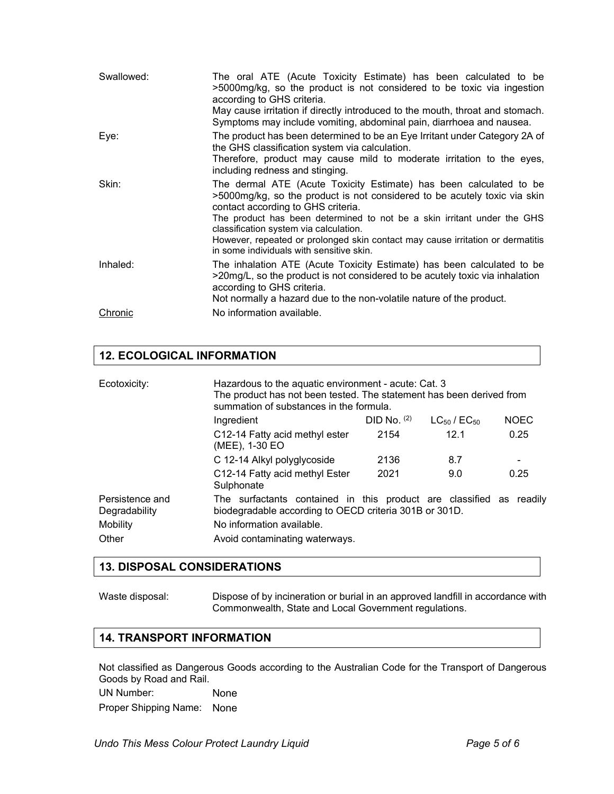| Swallowed:     | The oral ATE (Acute Toxicity Estimate) has been calculated to be<br>>5000mg/kg, so the product is not considered to be toxic via ingestion<br>according to GHS criteria.<br>May cause irritation if directly introduced to the mouth, throat and stomach.<br>Symptoms may include vomiting, abdominal pain, diarrhoea and nausea.                                                                                                        |
|----------------|------------------------------------------------------------------------------------------------------------------------------------------------------------------------------------------------------------------------------------------------------------------------------------------------------------------------------------------------------------------------------------------------------------------------------------------|
| Eye:           | The product has been determined to be an Eye Irritant under Category 2A of<br>the GHS classification system via calculation.<br>Therefore, product may cause mild to moderate irritation to the eyes,<br>including redness and stinging.                                                                                                                                                                                                 |
| Skin:          | The dermal ATE (Acute Toxicity Estimate) has been calculated to be<br>>5000mg/kg, so the product is not considered to be acutely toxic via skin<br>contact according to GHS criteria.<br>The product has been determined to not be a skin irritant under the GHS<br>classification system via calculation.<br>However, repeated or prolonged skin contact may cause irritation or dermatitis<br>in some individuals with sensitive skin. |
| Inhaled:       | The inhalation ATE (Acute Toxicity Estimate) has been calculated to be<br>>20mg/L, so the product is not considered to be acutely toxic via inhalation<br>according to GHS criteria.<br>Not normally a hazard due to the non-volatile nature of the product.                                                                                                                                                                             |
| <u>Chronic</u> | No information available.                                                                                                                                                                                                                                                                                                                                                                                                                |

# **12. ECOLOGICAL INFORMATION**

| Ecotoxicity:                     | Hazardous to the aquatic environment - acute: Cat. 3<br>The product has not been tested. The statement has been derived from<br>summation of substances in the formula. |             |                       |             |
|----------------------------------|-------------------------------------------------------------------------------------------------------------------------------------------------------------------------|-------------|-----------------------|-------------|
|                                  | Ingredient                                                                                                                                                              | DID No. (2) | $LC_{50}$ / $EC_{50}$ | <b>NOEC</b> |
|                                  | C12-14 Fatty acid methyl ester<br>(MEE), 1-30 EO                                                                                                                        | 2154        | 12.1                  | 0.25        |
|                                  | C 12-14 Alkyl polyglycoside                                                                                                                                             | 2136        | 8.7                   |             |
|                                  | C12-14 Fatty acid methyl Ester<br>Sulphonate                                                                                                                            | 2021        | 9.0                   | 0.25        |
| Persistence and<br>Degradability | The surfactants contained in this product are classified as readily<br>biodegradable according to OECD criteria 301B or 301D.                                           |             |                       |             |
| Mobility                         | No information available.                                                                                                                                               |             |                       |             |
| Other                            | Avoid contaminating waterways.                                                                                                                                          |             |                       |             |

#### **13. DISPOSAL CONSIDERATIONS**

Waste disposal: Dispose of by incineration or burial in an approved landfill in accordance with Commonwealth, State and Local Government regulations.

### **14. TRANSPORT INFORMATION**

Not classified as Dangerous Goods according to the Australian Code for the Transport of Dangerous Goods by Road and Rail.

UN Number: None

Proper Shipping Name: None